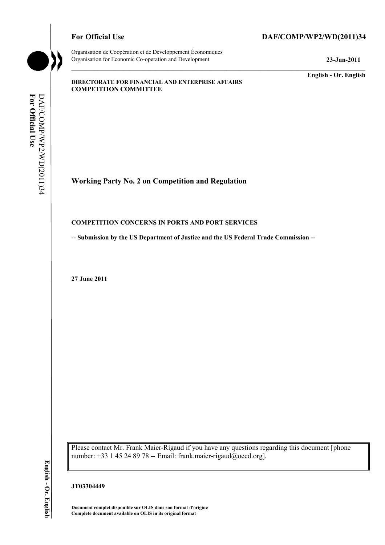

## For Official Use DAF/COMP/WP2/WD(2011)34

**English - Or. English** 

#### **DIRECTORATE FOR FINANCIAL AND ENTERPRISE AFFAIRS COMPETITION COMMITTEE**

# **Working Party No. 2 on Competition and Regulation**

#### **COMPETITION CONCERNS IN PORTS AND PORT SERVICES**

**-- Submission by the US Department of Justice and the US Federal Trade Commission --**

**27 June 2011** 

Please contact Mr. Frank Maier-Rigaud if you have any questions regarding this document [phone number: +33 1 45 24 89 78 -- Email: frank.maier-rigaud@oecd.org].

#### **JT03304449**

 **Document complet disponible sur OLIS dans son format d'origine Complete document available on OLIS in its original format** 

English - Or. English **English - Or. English**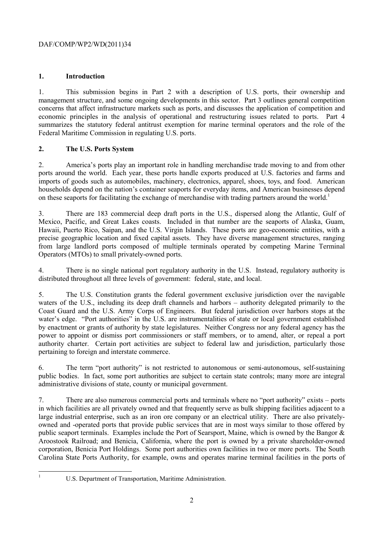## **1. Introduction**

1. This submission begins in Part 2 with a description of U.S. ports, their ownership and management structure, and some ongoing developments in this sector. Part 3 outlines general competition concerns that affect infrastructure markets such as ports, and discusses the application of competition and economic principles in the analysis of operational and restructuring issues related to ports. Part 4 summarizes the statutory federal antitrust exemption for marine terminal operators and the role of the Federal Maritime Commission in regulating U.S. ports.

## **2. The U.S. Ports System**

2. America's ports play an important role in handling merchandise trade moving to and from other ports around the world. Each year, these ports handle exports produced at U.S. factories and farms and imports of goods such as automobiles, machinery, electronics, apparel, shoes, toys, and food. American households depend on the nation's container seaports for everyday items, and American businesses depend on these seaports for facilitating the exchange of merchandise with trading partners around the world.<sup>1</sup>

3. There are 183 commercial deep draft ports in the U.S., dispersed along the Atlantic, Gulf of Mexico, Pacific, and Great Lakes coasts. Included in that number are the seaports of Alaska, Guam, Hawaii, Puerto Rico, Saipan, and the U.S. Virgin Islands. These ports are geo-economic entities, with a precise geographic location and fixed capital assets. They have diverse management structures, ranging from large landlord ports composed of multiple terminals operated by competing Marine Terminal Operators (MTOs) to small privately-owned ports.

4. There is no single national port regulatory authority in the U.S. Instead, regulatory authority is distributed throughout all three levels of government: federal, state, and local.

 Coast Guard and the U.S. Army Corps of Engineers. But federal jurisdiction over harbors stops at the authority charter. Certain port activities are subject to federal law and jurisdiction, particularly those 5. The U.S. Constitution grants the federal government exclusive jurisdiction over the navigable waters of the U.S., including its deep draft channels and harbors – authority delegated primarily to the water's edge. "Port authorities" in the U.S. are instrumentalities of state or local government established by enactment or grants of authority by state legislatures. Neither Congress nor any federal agency has the power to appoint or dismiss port commissioners or staff members, or to amend, alter, or repeal a port pertaining to foreign and interstate commerce.

6. The term "port authority" is not restricted to autonomous or semi-autonomous, self-sustaining public bodies. In fact, some port authorities are subject to certain state controls; many more are integral administrative divisions of state, county or municipal government.

7. There are also numerous commercial ports and terminals where no "port authority" exists – ports in which facilities are all privately owned and that frequently serve as bulk shipping facilities adjacent to a large industrial enterprise, such as an iron ore company or an electrical utility. There are also privatelyowned and -operated ports that provide public services that are in most ways similar to those offered by public seaport terminals. Examples include the Port of Searsport, Maine, which is owned by the Bangor & Aroostook Railroad; and Benicia, California, where the port is owned by a private shareholder-owned corporation, Benicia Port Holdings. Some port authorities own facilities in two or more ports. The South Carolina State Ports Authority, for example, owns and operates marine terminal facilities in the ports of

 $\frac{1}{1}$ 

U.S. Department of Transportation, Maritime Administration.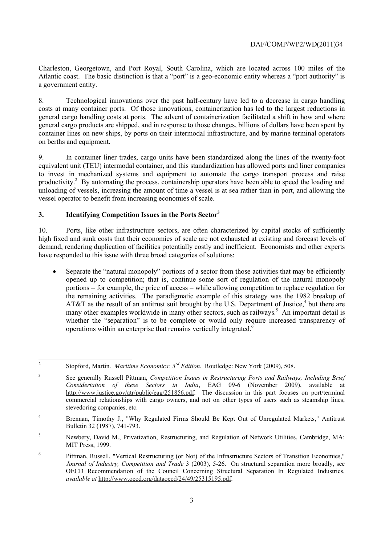Charleston, Georgetown, and Port Royal, South Carolina, which are located across 100 miles of the Atlantic coast. The basic distinction is that a "port" is a geo-economic entity whereas a "port authority" is a government entity.

 general cargo handling costs at ports. The advent of containerization facilitated a shift in how and where 8. Technological innovations over the past half-century have led to a decrease in cargo handling costs at many container ports. Of those innovations, containerization has led to the largest reductions in general cargo products are shipped, and in response to those changes, billions of dollars have been spent by container lines on new ships, by ports on their intermodal infrastructure, and by marine terminal operators on berths and equipment.

 equivalent unit (TEU) intermodal container, and this standardization has allowed ports and liner companies 9. In container liner trades, cargo units have been standardized along the lines of the twenty-foot to invest in mechanized systems and equipment to automate the cargo transport process and raise productivity.<sup>2</sup> By automating the process, containership operators have been able to speed the loading and unloading of vessels, increasing the amount of time a vessel is at sea rather than in port, and allowing the vessel operator to benefit from increasing economies of scale.

## **3. Identifying Competition Issues in the Ports Sector3**

10. Ports, like other infrastructure sectors, are often characterized by capital stocks of sufficiently high fixed and sunk costs that their economies of scale are not exhausted at existing and forecast levels of demand, rendering duplication of facilities potentially costly and inefficient. Economists and other experts have responded to this issue with three broad categories of solutions:

 opened up to competition; that is, continue some sort of regulation of the natural monopoly • Separate the "natural monopoly" portions of a sector from those activities that may be efficiently portions – for example, the price of access – while allowing competition to replace regulation for the remaining activities. The paradigmatic example of this strategy was the 1982 breakup of AT&T as the result of an antitrust suit brought by the U.S. Department of Justice,<sup>4</sup> but there are many other examples worldwide in many other sectors, such as railways.<sup>5</sup> An important detail is whether the "separation" is to be complete or would only require increased transparency of operations within an enterprise that remains vertically integrated.6

 $\overline{c}$ <sup>2</sup> Stopford, Martin. *Maritime Economics: 3<sup>rd</sup> Edition*. Routledge: New York (2009), 508.

<sup>3</sup> See generally Russell Pittman, *Competition Issues in Restructuring Ports and Railways, Including Brief Considertation of these Sectors in India*, EAG 09-6 (November 2009), available at http://www.justice.gov/atr/public/eag/251856.pdf. The discussion in this part focuses on port/terminal commercial relationships with cargo owners, and not on other types of users such as steamship lines, stevedoring companies, etc.

<sup>&</sup>lt;sup>4</sup> Brennan, Timothy J., "Why Regulated Firms Should Be Kept Out of Unregulated Markets," Antitrust Bulletin 32 (1987), 741-793.

 MIT Press, 1999. 5 Newbery, David M., Privatization, Restructuring, and Regulation of Network Utilities, Cambridge, MA:

 OECD Recommendation of the Council Concerning Structural Separation In Regulated Industries, 6 Pittman, Russell, "Vertical Restructuring (or Not) of the Infrastructure Sectors of Transition Economies," *Journal of Industry, Competition and Trade* 3 (2003), 5-26. On structural separation more broadly, see *available at* http://www.oecd.org/dataoecd/24/49/25315195.pdf.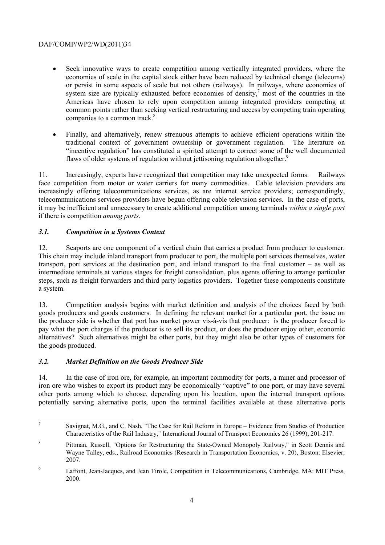- Seek innovative ways to create competition among vertically integrated providers, where the economies of scale in the capital stock either have been reduced by technical change (telecoms) or persist in some aspects of scale but not others (railways). In railways, where economies of system size are typically exhausted before economies of density, $\frac{7}{7}$  most of the countries in the Americas have chosen to rely upon competition among integrated providers competing at common points rather than seeking vertical restructuring and access by competing train operating companies to a common track.<sup>8</sup>
- Finally, and alternatively, renew strenuous attempts to achieve efficient operations within the traditional context of government ownership or government regulation. The literature on "incentive regulation" has constituted a spirited attempt to correct some of the well documented flaws of older systems of regulation without jettisoning regulation altogether.<sup>9</sup>

11. Increasingly, experts have recognized that competition may take unexpected forms. Railways face competition from motor or water carriers for many commodities. Cable television providers are increasingly offering telecommunications services, as are internet service providers; correspondingly, telecommunications services providers have begun offering cable television services. In the case of ports, it may be inefficient and unnecessary to create additional competition among terminals *within a single port*  if there is competition *among ports*.

# *3.1. Competition in a Systems Context*

12. Seaports are one component of a vertical chain that carries a product from producer to customer. This chain may include inland transport from producer to port, the multiple port services themselves, water transport, port services at the destination port, and inland transport to the final customer – as well as intermediate terminals at various stages for freight consolidation, plus agents offering to arrange particular steps, such as freight forwarders and third party logistics providers. Together these components constitute a system.

13. Competition analysis begins with market definition and analysis of the choices faced by both goods producers and goods customers. In defining the relevant market for a particular port, the issue on the producer side is whether that port has market power vis-à-vis that producer: is the producer forced to pay what the port charges if the producer is to sell its product, or does the producer enjoy other, economic alternatives? Such alternatives might be other ports, but they might also be other types of customers for the goods produced.

# *3.2. Market Definition on the Goods Producer Side*

 14. In the case of iron ore, for example, an important commodity for ports, a miner and processor of iron ore who wishes to export its product may be economically "captive" to one port, or may have several other ports among which to choose, depending upon his location, upon the internal transport options potentially serving alternative ports, upon the terminal facilities available at these alternative ports

 $\overline{z}$  $7$  Savignat, M.G., and C. Nash, "The Case for Rail Reform in Europe – Evidence from Studies of Production Characteristics of the Rail Industry," International Journal of Transport Economics 26 (1999), 201-217.

<sup>8</sup> Pittman, Russell, "Options for Restructuring the State-Owned Monopoly Railway," in Scott Dennis and Wayne Talley, eds., Railroad Economics (Research in Transportation Economics, v. 20), Boston: Elsevier, 2007.

<sup>&</sup>lt;sup>9</sup> Laffont, Jean-Jacques, and Jean Tirole, Competition in Telecommunications, Cambridge, MA: MIT Press, 2000.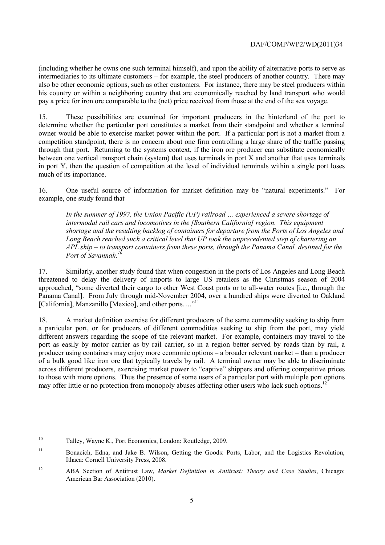(including whether he owns one such terminal himself), and upon the ability of alternative ports to serve as intermediaries to its ultimate customers – for example, the steel producers of another country. There may also be other economic options, such as other customers. For instance, there may be steel producers within his country or within a neighboring country that are economically reached by land transport who would pay a price for iron ore comparable to the (net) price received from those at the end of the sea voyage.

15. These possibilities are examined for important producers in the hinterland of the port to determine whether the particular port constitutes a market from their standpoint and whether a terminal owner would be able to exercise market power within the port. If a particular port is not a market from a competition standpoint, there is no concern about one firm controlling a large share of the traffic passing through that port. Returning to the systems context, if the iron ore producer can substitute economically between one vertical transport chain (system) that uses terminals in port X and another that uses terminals in port Y, then the question of competition at the level of individual terminals within a single port loses much of its importance.

16. One useful source of information for market definition may be "natural experiments." For example, one study found that

*In the summer of 1997, the Union Pacific (UP) railroad … experienced a severe shortage of intermodal rail cars and locomotives in the [Southern California] region. This equipment shortage and the resulting backlog of containers for departure from the Ports of Los Angeles and Long Beach reached such a critical level that UP took the unprecedented step of chartering an APL ship – to transport containers from these ports, through the Panama Canal, destined for the Port of Savannah.*<sup>1</sup>

[California], Manzanillo [Mexico], and other ports...."<sup>11</sup> 17. Similarly, another study found that when congestion in the ports of Los Angeles and Long Beach threatened to delay the delivery of imports to large US retailers as the Christmas season of 2004 approached, "some diverted their cargo to other West Coast ports or to all-water routes [i.e., through the Panama Canal]. From July through mid-November 2004, over a hundred ships were diverted to Oakland

 a particular port, or for producers of different commodities seeking to ship from the port, may yield 18. A market definition exercise for different producers of the same commodity seeking to ship from different answers regarding the scope of the relevant market. For example, containers may travel to the port as easily by motor carrier as by rail carrier, so in a region better served by roads than by rail, a producer using containers may enjoy more economic options – a broader relevant market – than a producer of a bulk good like iron ore that typically travels by rail. A terminal owner may be able to discriminate across different producers, exercising market power to "captive" shippers and offering competitive prices to those with more options. Thus the presence of some users of a particular port with multiple port options may offer little or no protection from monopoly abuses affecting other users who lack such options.<sup>12</sup>

 $10$ <sup>10</sup> Talley, Wayne K., Port Economics, London: Routledge, 2009.

 $11\,$ 11 Bonacich, Edna, and Jake B. Wilson, Getting the Goods: Ports, Labor, and the Logistics Revolution, Ithaca: Cornell University Press, 2008.

<sup>12</sup> ABA Section of Antitrust Law, *Market Definition in Antitrust: Theory and Case Studies*, Chicago: American Bar Association (2010).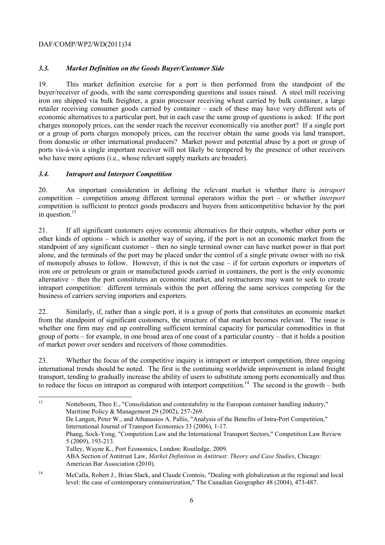## *3.3. Market Definition on the Goods Buyer/Customer Side*

 from domestic or other international producers? Market power and potential abuse by a port or group of 19. This market definition exercise for a port is then performed from the standpoint of the buyer/receiver of goods, with the same corresponding questions and issues raised. A steel mill receiving iron ore shipped via bulk freighter, a grain processor receiving wheat carried by bulk container, a large retailer receiving consumer goods carried by container – each of these may have very different sets of economic alternatives to a particular port, but in each case the same group of questions is asked: If the port charges monopoly prices, can the sender reach the receiver economically via another port? If a single port or a group of ports charges monopoly prices, can the receiver obtain the same goods via land transport, ports vis-à-vis a single important receiver will not likely be tempered by the presence of other receivers who have more options (i.e., whose relevant supply markets are broader).

#### *3.4. Intraport and Interport Competition*

20. An important consideration in defining the relevant market is whether there is *intraport*  competition – competition among different terminal operators within the port – or whether *interport*  competition is sufficient to protect goods producers and buyers from anticompetitive behavior by the port in question.<sup>13</sup>

 iron ore or petroleum or grain or manufactured goods carried in containers, the port is the only economic 21. If all significant customers enjoy economic alternatives for their outputs, whether other ports or other kinds of options – which is another way of saying, if the port is not an economic market from the standpoint of any significant customer – then no single terminal owner can have market power in that port alone, and the terminals of the port may be placed under the control of a single private owner with no risk of monopoly abuses to follow. However, if this is not the case – if for certain exporters or importers of alternative – then the port constitutes an economic market, and restructurers may want to seek to create intraport competition: different terminals within the port offering the same services competing for the business of carriers serving importers and exporters.

 from the standpoint of significant customers, the structure of that market becomes relevant. The issue is 22. Similarly, if, rather than a single port, it is a group of ports that constitutes an economic market whether one firm may end up controlling sufficient terminal capacity for particular commodities in that group of ports – for example, in one broad area of one coast of a particular country – that it holds a position of market power over senders and receivers of those commodities.

23. Whether the focus of the competitive inquiry is intraport or interport competition, three ongoing international trends should be noted. The first is the continuing worldwide improvement in inland freight transport, tending to gradually increase the ability of users to substitute among ports economically and thus to reduce the focus on intraport as compared with interport competition.<sup>14</sup> The second is the growth – both

 $13$  Phang, Sock-Yong, "Competition Law and the International Transport Sectors," Competition Law Review Talley, Wayne K., Port Economics, London: Routledge, 2009. 13 Notteboom, Theo E., "Consolidation and contestability in the European container handling industry," Maritime Policy & Management 29 (2002), 257-269. De Langen, Peter W., and Athanasios A. Pallis, "Analysis of the Benefits of Intra-Port Competition," International Journal of Transport Economics 33 (2006), 1-17. 5 (2009), 193-213. ABA Section of Antitrust Law, *Market Definition in Antitrust: Theory and Case Studies*, Chicago: American Bar Association (2010).

<sup>&</sup>lt;sup>14</sup> McCalla, Robert J., Brian Slack, and Claude Comtois, "Dealing with globalization at the regional and local level: the case of contemporary containerization," The Canadian Geographer 48 (2004), 473-487.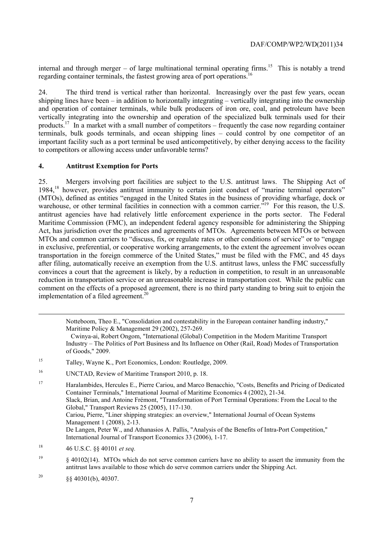internal and through merger – of large multinational terminal operating firms.<sup>15</sup> This is notably a trend regarding container terminals, the fastest growing area of port operations.<sup>16</sup>

24. The third trend is vertical rather than horizontal. Increasingly over the past few years, ocean shipping lines have been – in addition to horizontally integrating – vertically integrating into the ownership and operation of container terminals, while bulk producers of iron ore, coal, and petroleum have been vertically integrating into the ownership and operation of the specialized bulk terminals used for their products.17 In a market with a small number of competitors – frequently the case now regarding container terminals, bulk goods terminals, and ocean shipping lines – could control by one competitor of an important facility such as a port terminal be used anticompetitively, by either denying access to the facility to competitors or allowing access under unfavorable terms?

#### **4. Antitrust Exemption for Ports**

 25. Mergers involving port facilities are subject to the U.S. antitrust laws. The Shipping Act of warehouse, or other terminal facilities in connection with a common carrier.<sup>519</sup> For this reason, the U.S. reduction in transportation service or an unreasonable increase in transportation cost. While the public can 1984,18 however, provides antitrust immunity to certain joint conduct of "marine terminal operators" (MTOs), defined as entities "engaged in the United States in the business of providing wharfage, dock or antitrust agencies have had relatively little enforcement experience in the ports sector. The Federal Maritime Commission (FMC), an independent federal agency responsible for administering the Shipping Act, has jurisdiction over the practices and agreements of MTOs. Agreements between MTOs or between MTOs and common carriers to "discuss, fix, or regulate rates or other conditions of service" or to "engage in exclusive, preferential, or cooperative working arrangements, to the extent the agreement involves ocean transportation in the foreign commerce of the United States," must be filed with the FMC, and 45 days after filing, automatically receive an exemption from the U.S. antitrust laws, unless the FMC successfully convinces a court that the agreement is likely, by a reduction in competition, to result in an unreasonable comment on the effects of a proposed agreement, there is no third party standing to bring suit to enjoin the implementation of a filed agreement.<sup>20</sup>

Notteboom, Theo E., "Consolidation and contestability in the European container handling industry," Maritime Policy & Management 29 (2002), 257-269.

 of Goods," 2009. Cwinya-ai, Robert Ongom, "International (Global) Competition in the Modern Maritime Transport Industry – The Politics of Port Business and Its Influence on Other (Rail, Road) Modes of Transportation

- <sup>15</sup> Talley, Wayne K., Port Economics, London: Routledge, 2009.
- <sup>16</sup> UNCTAD, Review of Maritime Transport 2010, p. 18.

17 Haralambides, Hercules E., Pierre Cariou, and Marco Benacchio, "Costs, Benefits and Pricing of Dedicated Container Terminals," International Journal of Maritime Economics 4 (2002), 21-34. Slack, Brian, and Antoine Frémont, "Transformation of Port Terminal Operations: From the Local to the Global," Transport Reviews 25 (2005), 117-130. Cariou, Pierre, "Liner shipping strategies: an overview," International Journal of Ocean Systems Management 1 (2008), 2-13. De Langen, Peter W., and Athanasios A. Pallis, "Analysis of the Benefits of Intra-Port Competition," International Journal of Transport Economics 33 (2006), 1-17.

 $\frac{19}{9}$  § 40102(14). MTOs which do not serve common carriers have no ability to assert the immunity from the antitrust laws available to those which do serve common carriers under the Shipping Act.

<sup>20</sup> §§ 40301(b), 40307.

-

<sup>18 46</sup> U.S.C. §§ 40101 *et seq.*